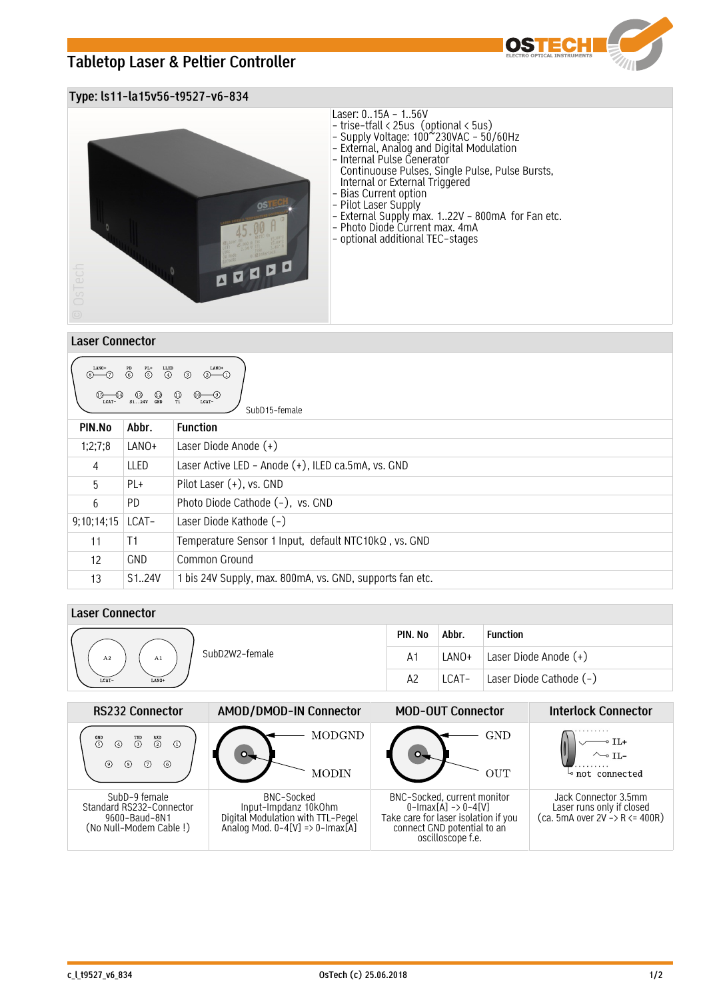# **Tabletop Laser & Peltier Controller**



## **Type: ls11-la15v56-t9527-v6-834**



#### **Laser Connector**

| LANO+<br>$\begin{array}{c}\n\text{LLED} \\ \textcircled{4}\n\end{array}$<br>LANO+<br>$\overline{\bigodot}^{\text{PL+}}$<br>$\overset{PD}{\odot}$<br>$(2)$ (1)<br>$\odot$<br>$\circ$ $\circ$<br>$\overbrace{\text{Lcat}-}^{\text{D}}$<br>$\bigoplus_{T1}$<br>$\begin{array}{cc}\n\textcircled{1} & \textcircled{1} \\ \textcircled{1} & \textcircled{1} \\ \textcircled{2} & \textcircled{3} & \textcircled{1}\n\end{array}$<br>LCAT-<br>SubD <sub>15</sub> -female |            |                                                          |  |  |  |  |
|--------------------------------------------------------------------------------------------------------------------------------------------------------------------------------------------------------------------------------------------------------------------------------------------------------------------------------------------------------------------------------------------------------------------------------------------------------------------|------------|----------------------------------------------------------|--|--|--|--|
| PIN.No                                                                                                                                                                                                                                                                                                                                                                                                                                                             | Abbr.      | <b>Function</b>                                          |  |  |  |  |
| 1;2;7;8                                                                                                                                                                                                                                                                                                                                                                                                                                                            | LANO+      | Laser Diode Anode $(+)$                                  |  |  |  |  |
| 4                                                                                                                                                                                                                                                                                                                                                                                                                                                                  | LLED       | Laser Active LED - Anode (+), ILED ca.5mA, vs. GND       |  |  |  |  |
| 5                                                                                                                                                                                                                                                                                                                                                                                                                                                                  | PL+        | Pilot Laser (+), vs. GND                                 |  |  |  |  |
| 6                                                                                                                                                                                                                                                                                                                                                                                                                                                                  | PD.        | Photo Diode Cathode (-), vs. GND                         |  |  |  |  |
| 9;10;14;15                                                                                                                                                                                                                                                                                                                                                                                                                                                         | LCAT-      | Laser Diode Kathode (-)                                  |  |  |  |  |
| 11                                                                                                                                                                                                                                                                                                                                                                                                                                                                 | T1         | Temperature Sensor 1 Input, default NTC10kQ, vs. GND     |  |  |  |  |
| 12                                                                                                                                                                                                                                                                                                                                                                                                                                                                 | <b>GND</b> | Common Ground                                            |  |  |  |  |
| 13                                                                                                                                                                                                                                                                                                                                                                                                                                                                 | S124V      | 1 bis 24V Supply, max. 800mA, vs. GND, supports fan etc. |  |  |  |  |

## **Laser Connector**

|                            | PIN. No        | Abbr. | <b>Function</b>         |
|----------------------------|----------------|-------|-------------------------|
| SubD2W2-female<br>A2<br>A1 | A <sub>1</sub> | LANO+ | Laser Diode Anode (+)   |
| LCAT-<br>LANO+             | A2             | LCAT- | Laser Diode Cathode (-) |

| <b>RS232 Connector</b>                                                               | AMOD/DMOD-IN Connector                                                                                     | <b>MOD-OUT Connector</b>                                                                                                                                          | <b>Interlock Connector</b>                                                           |
|--------------------------------------------------------------------------------------|------------------------------------------------------------------------------------------------------------|-------------------------------------------------------------------------------------------------------------------------------------------------------------------|--------------------------------------------------------------------------------------|
| $\overline{2}$<br>$\overset{\text{GND}}{5}$<br>⋒<br>(7)<br>(6)<br>(8)                | <b>MODGND</b><br>MODIN                                                                                     | GND<br><b>OUT</b>                                                                                                                                                 | not connected                                                                        |
| SubD-9 female<br>Standard RS232-Connector<br>9600-Baud-8N1<br>(No Null-Modem Cable!) | BNC-Socked<br>Input-Impdanz 10kOhm<br>Digital Modulation with TTL-Pegel<br>Analog Mod. 0-4[V] => 0-Imax[A] | BNC-Socked, current monitor<br>$0$ -Imax $[A] \rightarrow 0$ -4 $[V]$<br>Take care for laser isolation if you<br>connect GND potential to an<br>oscilloscope f.e. | Jack Connector 3.5mm<br>Laser runs only if closed<br>$(ca. 5mA over 2V - R <= 400R)$ |